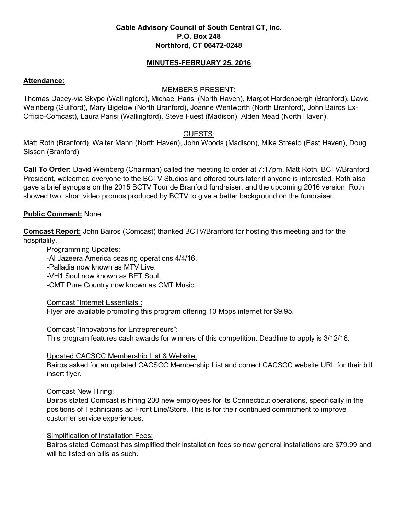#### **Cable Advisory Council of South Central CT, Inc. P.O. Box 248 Northford, CT 06472-0248**

#### **MINUTES-FEBRUARY 25, 2016**

#### **Attendance:**

#### MEMBERS PRESENT:

Thomas Dacey-via Skype (Wallingford), Michael Parisi (North Haven), Margot Hardenbergh (Branford), David Weinberg (Guilford), Mary Bigelow (North Branford), Joanne Wentworth (North Branford), John Bairos Ex-Officio-Comcast), Laura Parisi (Wallingford), Steve Fuest (Madison), Alden Mead (North Haven).

## GUESTS:

Matt Roth (Branford), Walter Mann (North Haven), John Woods (Madison), Mike Streeto (East Haven), Doug Sisson (Branford)

**Call To Order:** David Weinberg (Chairman) called the meeting to order at 7:17pm. Matt Roth, BCTV/Branford President, welcomed everyone to the BCTV Studios and offered tours later if anyone is interested. Roth also gave a brief synopsis on the 2015 BCTV Tour de Branford fundraiser, and the upcoming 2016 version. Roth showed two, short video promos produced by BCTV to give a better background on the fundraiser.

### **Public Comment:** None.

**Comcast Report:** John Bairos (Comcast) thanked BCTV/Branford for hosting this meeting and for the hospitality.

Programming Updates:

-Al Jazeera America ceasing operations 4/4/16.

-Palladia now known as MTV Live.

-VH1 Soul now known as BET Soul.

-CMT Pure Country now known as CMT Music.

Comcast "Internet Essentials":

Flyer are available promoting this program offering 10 Mbps internet for \$9.95.

Comcast "Innovations for Entrepreneurs":

This program features cash awards for winners of this competition. Deadline to apply is 3/12/16.

Updated CACSCC Membership List & Website:

Bairos asked for an updated CACSCC Membership List and correct CACSCC website URL for their bill insert flyer.

#### Comcast New Hiring:

Bairos stated Comcast is hiring 200 new employees for its Connecticut operations, specifically in the positions of Technicians ad Front Line/Store. This is for their continued commitment to improve customer service experiences.

#### Simplification of Installation Fees:

Bairos stated Comcast has simplified their installation fees so now general installations are \$79.99 and will be listed on bills as such.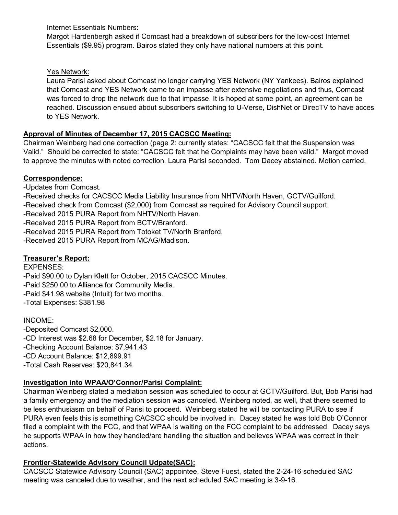Internet Essentials Numbers:

Margot Hardenbergh asked if Comcast had a breakdown of subscribers for the low-cost Internet Essentials (\$9.95) program. Bairos stated they only have national numbers at this point.

# Yes Network:

Laura Parisi asked about Comcast no longer carrying YES Network (NY Yankees). Bairos explained that Comcast and YES Network came to an impasse after extensive negotiations and thus, Comcast was forced to drop the network due to that impasse. It is hoped at some point, an agreement can be reached. Discussion ensued about subscribers switching to U-Verse, DishNet or DirecTV to have acces to YES Network.

# **Approval of Minutes of December 17, 2015 CACSCC Meeting:**

Chairman Weinberg had one correction (page 2: currently states: "CACSCC felt that the Suspension was Valid." Should be corrected to state: "CACSCC felt that he Complaints may have been valid." Margot moved to approve the minutes with noted correction. Laura Parisi seconded. Tom Dacey abstained. Motion carried.

# **Correspondence:**

-Updates from Comcast.

- -Received checks for CACSCC Media Liability Insurance from NHTV/North Haven, GCTV/Guilford.
- -Received check from Comcast (\$2,000) from Comcast as required for Advisory Council support.
- -Received 2015 PURA Report from NHTV/North Haven.
- -Received 2015 PURA Report from BCTV/Branford.
- -Received 2015 PURA Report from Totoket TV/North Branford.
- -Received 2015 PURA Report from MCAG/Madison.

# **Treasurer's Report:**

EXPENSES:

- -Paid \$90.00 to Dylan Klett for October, 2015 CACSCC Minutes.
- -Paid \$250.00 to Alliance for Community Media.
- -Paid \$41.98 website (Intuit) for two months.
- -Total Expenses: \$381.98

# INCOME:

-Deposited Comcast \$2,000. -CD Interest was \$2.68 for December, \$2.18 for January. -Checking Account Balance: \$7,941.43 -CD Account Balance: \$12,899.91 -Total Cash Reserves: \$20,841.34

# **Investigation into WPAA/O'Connor/Parisi Complaint:**

Chairman Weinberg stated a mediation session was scheduled to occur at GCTV/Guilford. But, Bob Parisi had a family emergency and the mediation session was canceled. Weinberg noted, as well, that there seemed to be less enthusiasm on behalf of Parisi to proceed. Weinberg stated he will be contacting PURA to see if PURA even feels this is something CACSCC should be involved in. Dacey stated he was told Bob O'Connor filed a complaint with the FCC, and that WPAA is waiting on the FCC complaint to be addressed. Dacey says he supports WPAA in how they handled/are handling the situation and believes WPAA was correct in their actions.

# **Frontier-Statewide Advisory Council Udpate(SAC):**

CACSCC Statewide Advisory Council (SAC) appointee, Steve Fuest, stated the 2-24-16 scheduled SAC meeting was canceled due to weather, and the next scheduled SAC meeting is 3-9-16.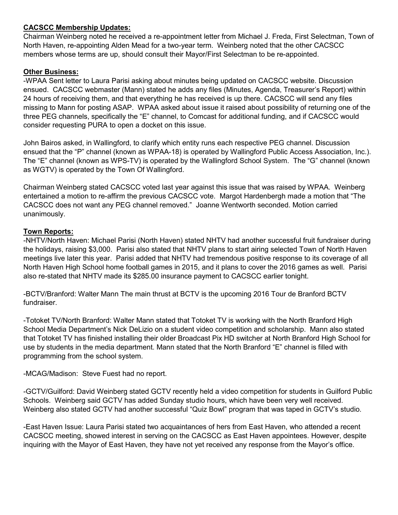## **CACSCC Membership Updates:**

Chairman Weinberg noted he received a re-appointment letter from Michael J. Freda, First Selectman, Town of North Haven, re-appointing Alden Mead for a two-year term. Weinberg noted that the other CACSCC members whose terms are up, should consult their Mayor/First Selectman to be re-appointed.

### **Other Business:**

-WPAA Sent letter to Laura Parisi asking about minutes being updated on CACSCC website. Discussion ensued. CACSCC webmaster (Mann) stated he adds any files (Minutes, Agenda, Treasurer's Report) within 24 hours of receiving them, and that everything he has received is up there. CACSCC will send any files missing to Mann for posting ASAP. WPAA asked about issue it raised about possibility of returning one of the three PEG channels, specifically the "E" channel, to Comcast for additional funding, and if CACSCC would consider requesting PURA to open a docket on this issue.

John Bairos asked, in Wallingford, to clarify which entity runs each respective PEG channel. Discussion ensued that the "P" channel (known as WPAA-18) is operated by Wallingford Public Access Association, Inc.). The "E" channel (known as WPS-TV) is operated by the Wallingford School System. The "G" channel (known as WGTV) is operated by the Town Of Wallingford.

Chairman Weinberg stated CACSCC voted last year against this issue that was raised by WPAA. Weinberg entertained a motion to re-affirm the previous CACSCC vote. Margot Hardenbergh made a motion that "The CACSCC does not want any PEG channel removed." Joanne Wentworth seconded. Motion carried unanimously.

### **Town Reports:**

-NHTV/North Haven: Michael Parisi (North Haven) stated NHTV had another successful fruit fundraiser during the holidays, raising \$3,000. Parisi also stated that NHTV plans to start airing selected Town of North Haven meetings live later this year. Parisi added that NHTV had tremendous positive response to its coverage of all North Haven High School home football games in 2015, and it plans to cover the 2016 games as well. Parisi also re-stated that NHTV made its \$285.00 insurance payment to CACSCC earlier tonight.

-BCTV/Branford: Walter Mann The main thrust at BCTV is the upcoming 2016 Tour de Branford BCTV fundraiser.

-Totoket TV/North Branford: Walter Mann stated that Totoket TV is working with the North Branford High School Media Department's Nick DeLizio on a student video competition and scholarship. Mann also stated that Totoket TV has finished installing their older Broadcast Pix HD switcher at North Branford High School for use by students in the media department. Mann stated that the North Branford "E" channel is filled with programming from the school system.

-MCAG/Madison: Steve Fuest had no report.

-GCTV/Guilford: David Weinberg stated GCTV recently held a video competition for students in Guilford Public Schools. Weinberg said GCTV has added Sunday studio hours, which have been very well received. Weinberg also stated GCTV had another successful "Quiz Bowl" program that was taped in GCTV's studio.

-East Haven Issue: Laura Parisi stated two acquaintances of hers from East Haven, who attended a recent CACSCC meeting, showed interest in serving on the CACSCC as East Haven appointees. However, despite inquiring with the Mayor of East Haven, they have not yet received any response from the Mayor's office.